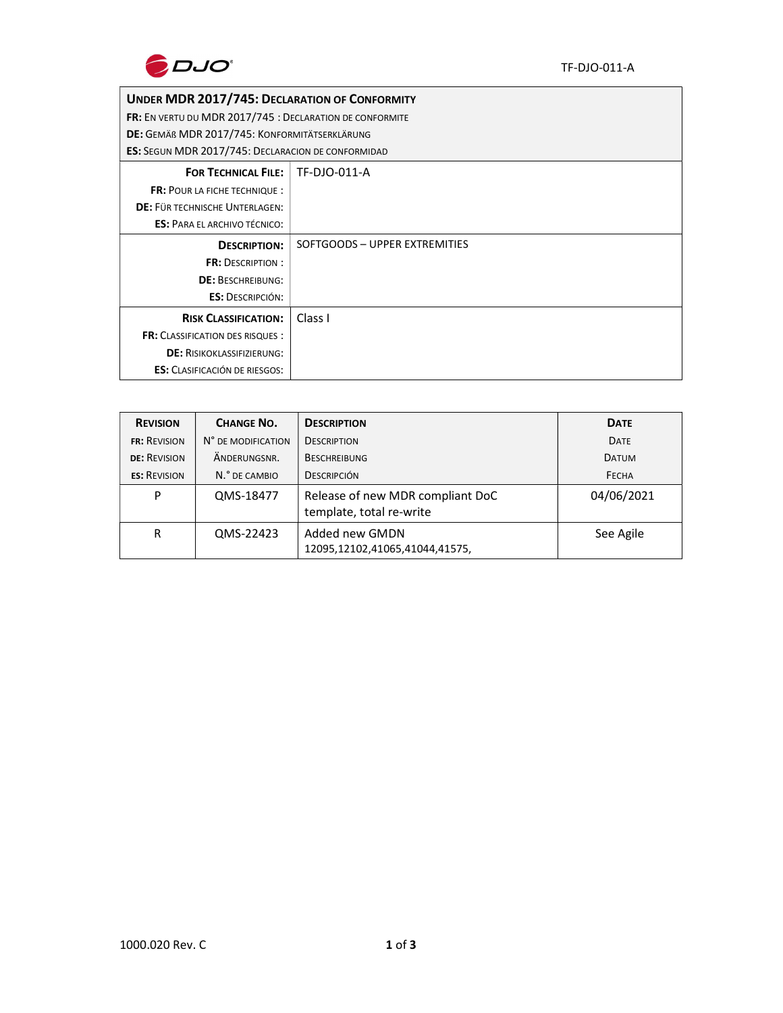

## UNDER MDR 2017/745: DECLARATION OF CONFORMITY

FR: EN VERTU DU MDR 2017/745 : DECLARATION DE CONFORMITE

DE: GEMÄß MDR 2017/745: KONFORMITÄTSERKLÄRUNG

ES: SEGUN MDR 2017/745: DECLARACION DE CONFORMIDAD

| <b>LJ.</b> JEGON IVIDN ZOI7774J. DECEARACION DE CONFONITIDAD |                               |  |
|--------------------------------------------------------------|-------------------------------|--|
| <b>FOR TECHNICAL FILE:</b>                                   | TF-DJO-011-A                  |  |
| <b>FR: POUR LA FICHE TECHNIQUE:</b>                          |                               |  |
| DE: FÜR TECHNISCHE UNTERLAGEN:                               |                               |  |
| <b>ES: PARA EL ARCHIVO TÉCNICO:</b>                          |                               |  |
| <b>DESCRIPTION:</b>                                          | SOFTGOODS - UPPER EXTREMITIES |  |
| <b>FR: DESCRIPTION:</b>                                      |                               |  |
| <b>DE: BESCHREIBUNG:</b>                                     |                               |  |
| <b>ES: DESCRIPCIÓN:</b>                                      |                               |  |
| <b>RISK CLASSIFICATION:</b>                                  | Class I                       |  |
| <b>FR: CLASSIFICATION DES RISQUES:</b>                       |                               |  |
| <b>DE: RISIKOKLASSIFIZIERUNG:</b>                            |                               |  |
| <b>ES:</b> CLASIFICACIÓN DE RIESGOS:                         |                               |  |
|                                                              |                               |  |

|  | <b>REVISION</b>     | <b>CHANGE NO.</b>  | <b>DESCRIPTION</b>                                           | <b>DATE</b>  |
|--|---------------------|--------------------|--------------------------------------------------------------|--------------|
|  | <b>FR: REVISION</b> | N° DE MODIFICATION | <b>DESCRIPTION</b>                                           | DATE         |
|  | <b>DE: REVISION</b> | ANDERUNGSNR.       | <b>BESCHREIBUNG</b>                                          | <b>DATUM</b> |
|  | <b>ES: REVISION</b> | N.º DE CAMBIO      | <b>DESCRIPCIÓN</b>                                           | FECHA        |
|  | P                   | QMS-18477          | Release of new MDR compliant DoC<br>template, total re-write | 04/06/2021   |
|  | R                   | QMS-22423          | Added new GMDN<br>12095,12102,41065,41044,41575,             | See Agile    |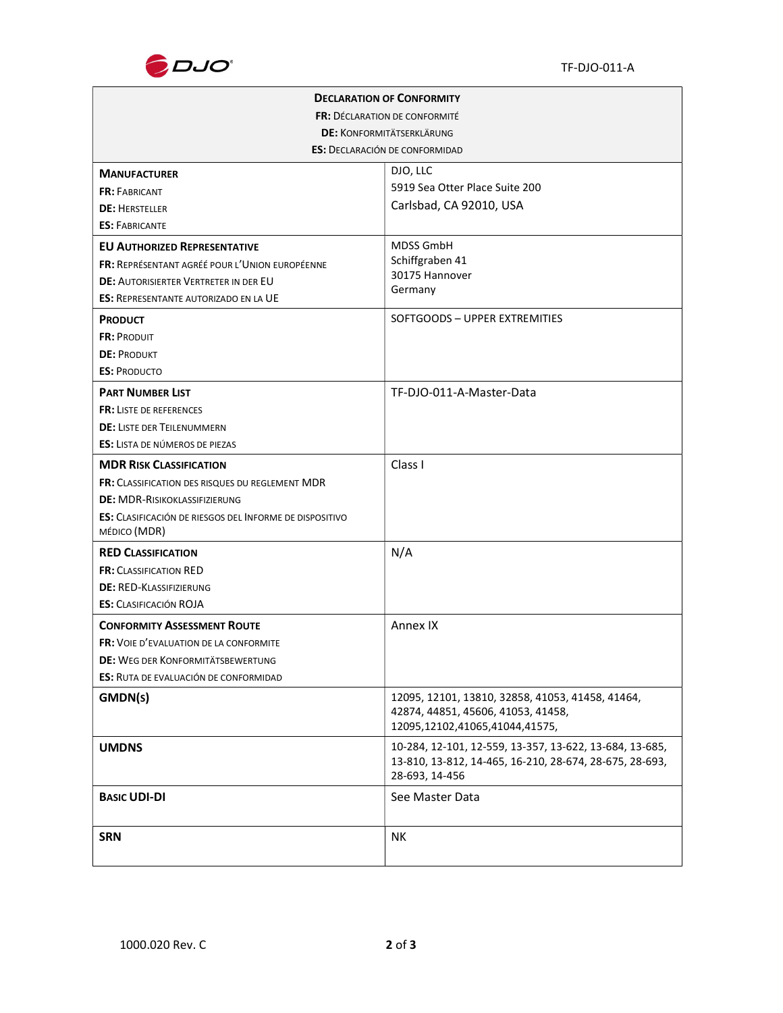

| <b>DECLARATION OF CONFORMITY</b>                               |                                                                                                                                      |  |  |  |  |
|----------------------------------------------------------------|--------------------------------------------------------------------------------------------------------------------------------------|--|--|--|--|
| <b>FR: DÉCLARATION DE CONFORMITÉ</b>                           |                                                                                                                                      |  |  |  |  |
|                                                                | <b>DE: KONFORMITÄTSERKLÄRUNG</b>                                                                                                     |  |  |  |  |
| <b>ES: DECLARACIÓN DE CONFORMIDAD</b>                          |                                                                                                                                      |  |  |  |  |
| <b>MANUFACTURER</b>                                            | DJO, LLC                                                                                                                             |  |  |  |  |
| <b>FR: FABRICANT</b>                                           | 5919 Sea Otter Place Suite 200                                                                                                       |  |  |  |  |
| <b>DE: HERSTELLER</b>                                          | Carlsbad, CA 92010, USA                                                                                                              |  |  |  |  |
| <b>ES: FABRICANTE</b>                                          |                                                                                                                                      |  |  |  |  |
| <b>EU AUTHORIZED REPRESENTATIVE</b>                            | <b>MDSS GmbH</b>                                                                                                                     |  |  |  |  |
| <b>FR: REPRÉSENTANT AGRÉÉ POUR L'UNION EUROPÉENNE</b>          | Schiffgraben 41                                                                                                                      |  |  |  |  |
| <b>DE: AUTORISIERTER VERTRETER IN DER EU</b>                   | 30175 Hannover<br>Germany                                                                                                            |  |  |  |  |
| <b>ES: REPRESENTANTE AUTORIZADO EN LA UE</b>                   |                                                                                                                                      |  |  |  |  |
| <b>PRODUCT</b>                                                 | SOFTGOODS - UPPER EXTREMITIES                                                                                                        |  |  |  |  |
| FR: PRODUIT                                                    |                                                                                                                                      |  |  |  |  |
| <b>DE: PRODUKT</b>                                             |                                                                                                                                      |  |  |  |  |
| <b>ES: PRODUCTO</b>                                            |                                                                                                                                      |  |  |  |  |
| <b>PART NUMBER LIST</b>                                        | TF-DJO-011-A-Master-Data                                                                                                             |  |  |  |  |
| <b>FR: LISTE DE REFERENCES</b>                                 |                                                                                                                                      |  |  |  |  |
| <b>DE: LISTE DER TEILENUMMERN</b>                              |                                                                                                                                      |  |  |  |  |
| <b>ES:</b> LISTA DE NÚMEROS DE PIEZAS                          |                                                                                                                                      |  |  |  |  |
| <b>MDR RISK CLASSIFICATION</b>                                 | Class I                                                                                                                              |  |  |  |  |
| <b>FR:</b> CLASSIFICATION DES RISQUES DU REGLEMENT MDR         |                                                                                                                                      |  |  |  |  |
| <b>DE: MDR-RISIKOKLASSIFIZIERUNG</b>                           |                                                                                                                                      |  |  |  |  |
| <b>ES:</b> CLASIFICACIÓN DE RIESGOS DEL INFORME DE DISPOSITIVO |                                                                                                                                      |  |  |  |  |
| MÉDICO (MDR)                                                   |                                                                                                                                      |  |  |  |  |
| <b>RED CLASSIFICATION</b>                                      | N/A                                                                                                                                  |  |  |  |  |
| <b>FR: CLASSIFICATION RED</b>                                  |                                                                                                                                      |  |  |  |  |
| <b>DE: RED-KLASSIFIZIERUNG</b>                                 |                                                                                                                                      |  |  |  |  |
| <b>ES: CLASIFICACIÓN ROJA</b>                                  |                                                                                                                                      |  |  |  |  |
| <b>CONFORMITY ASSESSMENT ROUTE</b>                             | Annex IX                                                                                                                             |  |  |  |  |
| <b>FR:</b> VOIE D'EVALUATION DE LA CONFORMITE                  |                                                                                                                                      |  |  |  |  |
| DE: WEG DER KONFORMITÄTSBEWERTUNG                              |                                                                                                                                      |  |  |  |  |
| ES: RUTA DE EVALUACIÓN DE CONFORMIDAD                          |                                                                                                                                      |  |  |  |  |
| GMDN(s)                                                        | 12095, 12101, 13810, 32858, 41053, 41458, 41464,<br>42874, 44851, 45606, 41053, 41458,                                               |  |  |  |  |
|                                                                | 12095,12102,41065,41044,41575,                                                                                                       |  |  |  |  |
| <b>UMDNS</b>                                                   | 10-284, 12-101, 12-559, 13-357, 13-622, 13-684, 13-685,<br>13-810, 13-812, 14-465, 16-210, 28-674, 28-675, 28-693,<br>28-693, 14-456 |  |  |  |  |
| <b>BASIC UDI-DI</b>                                            | See Master Data                                                                                                                      |  |  |  |  |
| <b>SRN</b>                                                     | NΚ                                                                                                                                   |  |  |  |  |